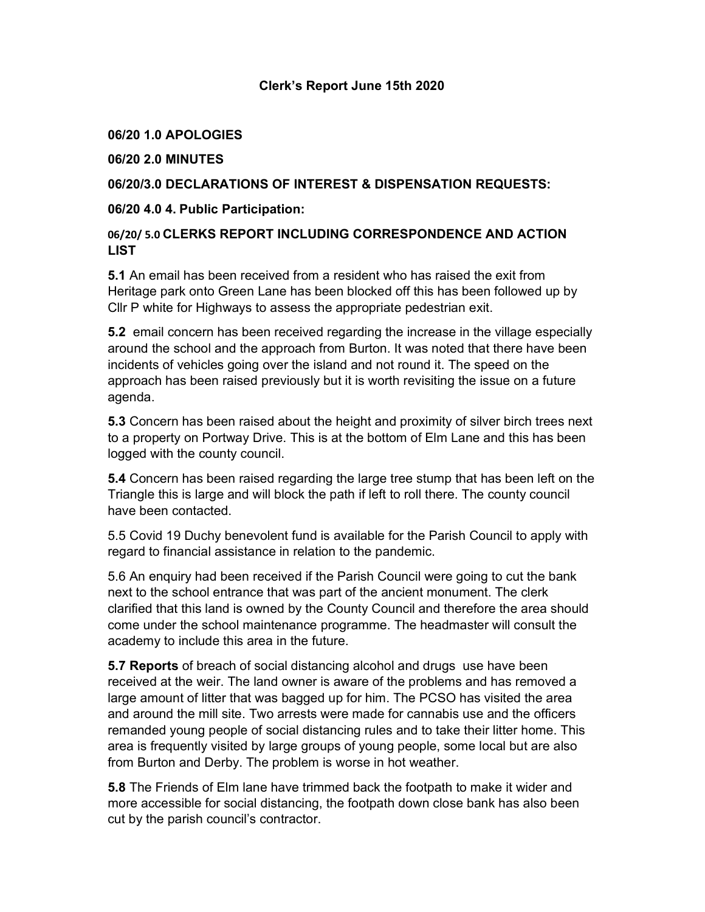#### Clerk's Report June 15th 2020

#### 06/20 1.0 APOLOGIES

#### 06/20 2.0 MINUTES

## 06/20/3.0 DECLARATIONS OF INTEREST & DISPENSATION REQUESTS:

#### 06/20 4.0 4. Public Participation:

### 06/20/ 5.0 CLERKS REPORT INCLUDING CORRESPONDENCE AND ACTION LIST

5.1 An email has been received from a resident who has raised the exit from Heritage park onto Green Lane has been blocked off this has been followed up by Cllr P white for Highways to assess the appropriate pedestrian exit.

5.2 email concern has been received regarding the increase in the village especially around the school and the approach from Burton. It was noted that there have been incidents of vehicles going over the island and not round it. The speed on the approach has been raised previously but it is worth revisiting the issue on a future agenda.

5.3 Concern has been raised about the height and proximity of silver birch trees next to a property on Portway Drive. This is at the bottom of Elm Lane and this has been logged with the county council.

5.4 Concern has been raised regarding the large tree stump that has been left on the Triangle this is large and will block the path if left to roll there. The county council have been contacted.

5.5 Covid 19 Duchy benevolent fund is available for the Parish Council to apply with regard to financial assistance in relation to the pandemic.

5.6 An enquiry had been received if the Parish Council were going to cut the bank next to the school entrance that was part of the ancient monument. The clerk clarified that this land is owned by the County Council and therefore the area should come under the school maintenance programme. The headmaster will consult the academy to include this area in the future.

5.7 Reports of breach of social distancing alcohol and drugs use have been received at the weir. The land owner is aware of the problems and has removed a large amount of litter that was bagged up for him. The PCSO has visited the area and around the mill site. Two arrests were made for cannabis use and the officers remanded young people of social distancing rules and to take their litter home. This area is frequently visited by large groups of young people, some local but are also from Burton and Derby. The problem is worse in hot weather.

5.8 The Friends of Elm lane have trimmed back the footpath to make it wider and more accessible for social distancing, the footpath down close bank has also been cut by the parish council's contractor.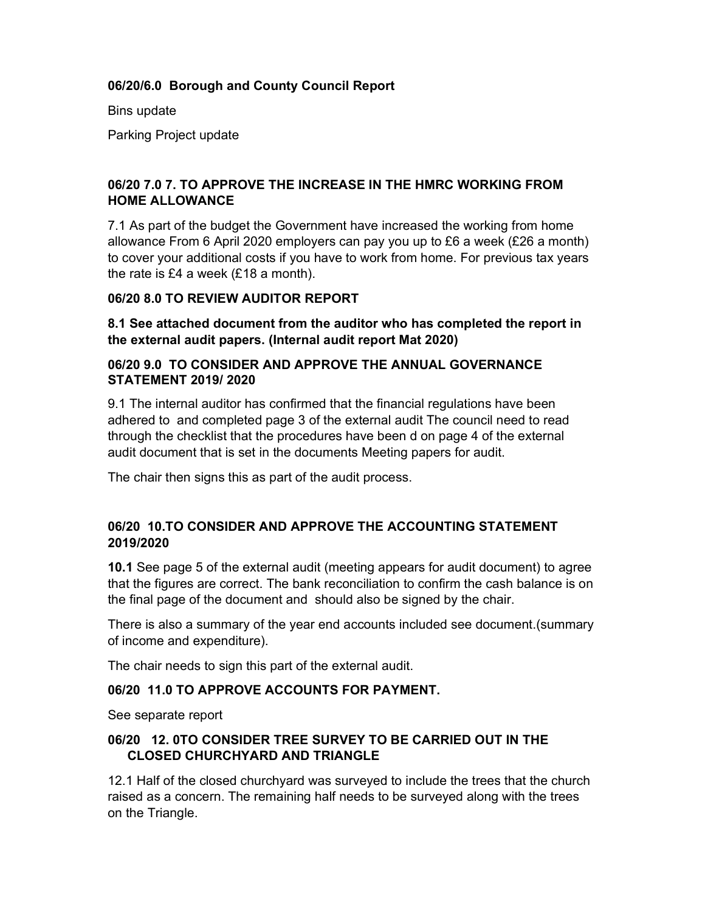## 06/20/6.0 Borough and County Council Report

Bins update

Parking Project update

# 06/20 7.0 7. TO APPROVE THE INCREASE IN THE HMRC WORKING FROM HOME ALLOWANCE

7.1 As part of the budget the Government have increased the working from home allowance From 6 April 2020 employers can pay you up to £6 a week (£26 a month) to cover your additional costs if you have to work from home. For previous tax years the rate is £4 a week (£18 a month).

### 06/20 8.0 TO REVIEW AUDITOR REPORT

8.1 See attached document from the auditor who has completed the report in the external audit papers. (Internal audit report Mat 2020)

#### 06/20 9.0 TO CONSIDER AND APPROVE THE ANNUAL GOVERNANCE STATEMENT 2019/ 2020

9.1 The internal auditor has confirmed that the financial regulations have been adhered to and completed page 3 of the external audit The council need to read through the checklist that the procedures have been d on page 4 of the external audit document that is set in the documents Meeting papers for audit.

The chair then signs this as part of the audit process.

# 06/20 10.TO CONSIDER AND APPROVE THE ACCOUNTING STATEMENT 2019/2020

10.1 See page 5 of the external audit (meeting appears for audit document) to agree that the figures are correct. The bank reconciliation to confirm the cash balance is on the final page of the document and should also be signed by the chair.

There is also a summary of the year end accounts included see document.(summary of income and expenditure).

The chair needs to sign this part of the external audit.

# 06/20 11.0 TO APPROVE ACCOUNTS FOR PAYMENT.

See separate report

### 06/20 12. 0TO CONSIDER TREE SURVEY TO BE CARRIED OUT IN THE CLOSED CHURCHYARD AND TRIANGLE

12.1 Half of the closed churchyard was surveyed to include the trees that the church raised as a concern. The remaining half needs to be surveyed along with the trees on the Triangle.